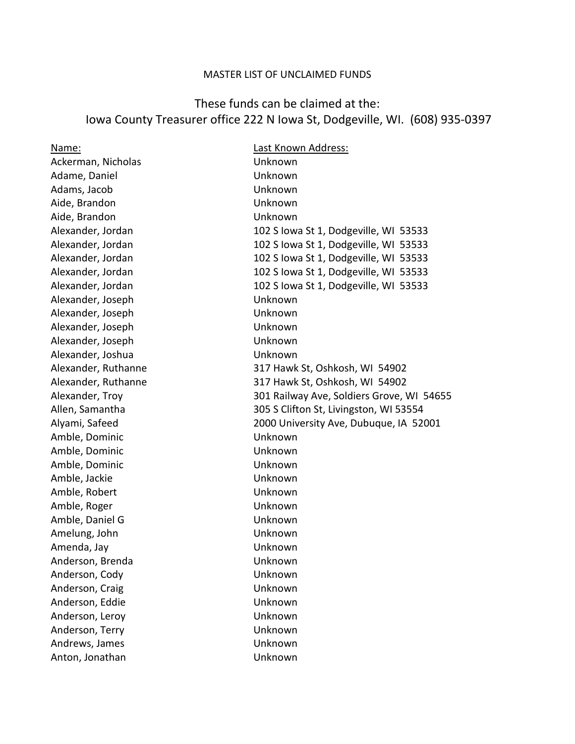## MASTER LIST OF UNCLAIMED FUNDS

## These funds can be claimed at the: Iowa County Treasurer office 222 N Iowa St, Dodgeville, WI. (608) 935-0397

Name: Last Known Address: Ackerman, Nicholas Unknown Adame, Daniel Unknown Adams, Jacob Unknown Aide, Brandon Unknown Aide, Brandon Unknown Alexander, Joseph Unknown Alexander, Joseph Unknown Alexander, Joseph Unknown Alexander, Joseph Unknown Alexander, Joshua Victorian Unknown Amble, Dominic Unknown Amble, Dominic Unknown Amble, Dominic Unknown Amble, Jackie Unknown Amble, Robert **Unknown** Amble, Roger North Communication and Muslim Unknown Amble, Daniel G Unknown Amelung, John Unknown Amenda, Jay Unknown Anderson, Brenda Unknown Anderson, Cody Unknown Anderson, Craig Carrier Controllers and Unknown Anderson, Eddie Van die Unknown Anderson, Leroy Unknown Anderson, Terry **National Execution Control** Unknown Andrews, James **National Andrews**, James **National Andrews** Anton, Jonathan Unknown

Alexander, Jordan 102 S Iowa St 1, Dodgeville, WI 53533 Alexander, Jordan 102 S Iowa St 1, Dodgeville, WI 53533 Alexander, Jordan 102 S Iowa St 1, Dodgeville, WI 53533 Alexander, Jordan 102 S Iowa St 1, Dodgeville, WI 53533 Alexander, Jordan 102 S Iowa St 1, Dodgeville, WI 53533 Alexander, Ruthanne 317 Hawk St, Oshkosh, WI 54902 Alexander, Ruthanne 317 Hawk St, Oshkosh, WI 54902 Alexander, Troy 301 Railway Ave, Soldiers Grove, WI 54655 Allen, Samantha 305 S Clifton St, Livingston, WI 53554 Alyami, Safeed 2000 University Ave, Dubuque, IA 52001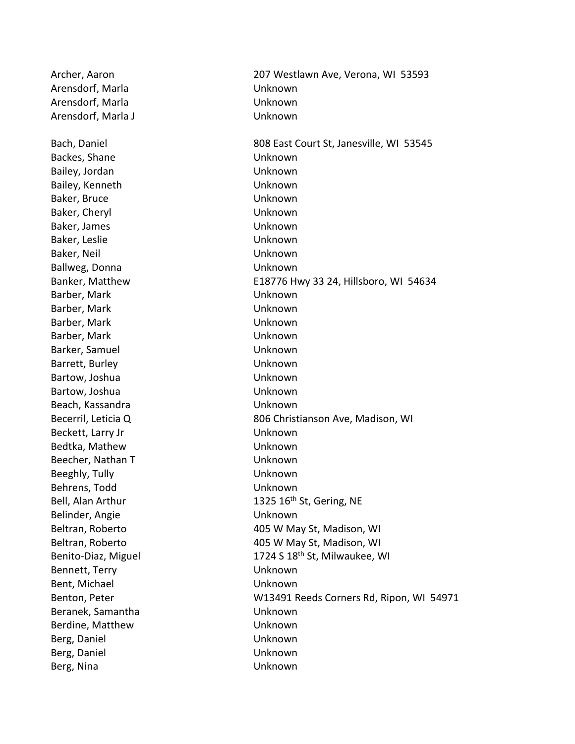Arensdorf, Marla **National Communist Communist Communist Communist Communist Communist Communist Communist Communist Communist Communist Communist Communist Communist Communist Communist Communist Communist Communist Commu** Arensdorf, Marla **National Communist Communist Communist Communist Communist Communist Communist Communist Communist Communist Communist Communist Communist Communist Communist Communist Communist Communist Communist Commu** Arensdorf, Marla J Unknown Backes, Shane Unknown Bailey, Jordan **Unknown** Bailey, Kenneth Unknown Baker, Bruce Unknown Baker, Cheryl **Example 2018** Unknown Baker, James **Example 2018** Unknown Baker, Leslie Unknown Baker, Neil Unknown Ballweg, Donna Unknown Barber, Mark Unknown Barber, Mark **National Communist Except** Unknown Barber, Mark **National Communist Communist Communist Communist Communist Communist Communist Communist Communist Communist Communist Communist Communist Communist Communist Communist Communist Communist Communist Communist** Barber, Mark **National Communist Communist Communist Communist Communist Communist Communist Communist Communist Communist Communist Communist Communist Communist Communist Communist Communist Communist Communist Communist** Barker, Samuel Unknown Barrett, Burley **National Execution Contract Contract Contract Contract Contract Contract Contract Contract Contract Contract Contract Contract Contract Contract Contract Contract Contract Contract Contract Contract Contra** Bartow, Joshua **National Lines and American** Unknown Bartow, Joshua **National Lines and American** Unknown Beach, Kassandra Unknown Beckett, Larry Jr **Beckett**, Larry Jr **Unknown** Bedtka, Mathew Unknown Beecher, Nathan T View Unknown Beeghly, Tully **Example 20** Unknown Behrens, Todd Unknown Belinder, Angie Van die Belinder, Angie Van die Unknown Bennett, Terry Unknown Bent, Michael **Exercise Exercise Sent**, Michael Beranek, Samantha Unknown Berdine, Matthew **Example 2018** Unknown Berg, Daniel Unknown Berg, Daniel Unknown Berg, Nina Unknown

Archer, Aaron 207 Westlawn Ave, Verona, WI 53593 Bach, Daniel **808 East Court St, Janesville, WI 53545** Banker, Matthew E18776 Hwy 33 24, Hillsboro, WI 54634 Becerril, Leticia Q 806 Christianson Ave, Madison, WI Bell, Alan Arthur 1325 16<sup>th</sup> St, Gering, NE Beltran, Roberto **1988** and 1995 W May St, Madison, WI Beltran, Roberto **1988** and 405 W May St, Madison, WI Benito-Diaz, Miguel 1724 S 18<sup>th</sup> St, Milwaukee, WI Benton, Peter W13491 Reeds Corners Rd, Ripon, WI 54971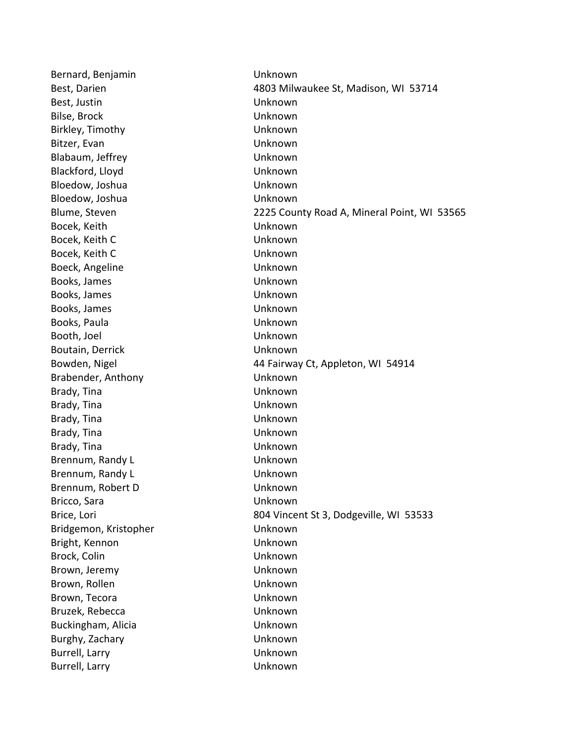Bernard, Benjamin Version Unknown Best, Darien 1980 Milwaukee St, Madison, WI 53714 Best, Justin Unknown Bilse, Brock Unknown Birkley, Timothy **Unknown** Bitzer, Evan Unknown Blabaum, Jeffrey **Example 20** Unknown Blackford, Lloyd Unknown Bloedow, Joshua **National Communist Communist Communist Communist Communist Communist Communist Communist Communist Communist Communist Communist Communist Communist Communist Communist Communist Communist Communist Commun** Bloedow, Joshua **National Communist Communist Communist Communist Communist Communist Communist Communist Communist Communist Communist Communist Communist Communist Communist Communist Communist Communist Communist Commun** Blume, Steven 2225 County Road A, Mineral Point, WI 53565 Bocek, Keith Unknown Bocek, Keith C and C Unknown Bocek, Keith C **Unknown** Boeck, Angeline Contract Contract Contract Unknown Books, James **National Contract Contract Contract Contract Contract Contract Contract Contract Contract Contract Contract Contract Contract Contract Contract Contract Contract Contract Contract Contract Contract Contract C** Books, James **Example 2018** Unknown Books, James **National Contract Contract Contract Contract Contract Contract Contract Contract Contract Contract Contract Contract Contract Contract Contract Contract Contract Contract Contract Contract Contract Contract C** Books, Paula **National Contract Contract Contract Contract Contract Contract Contract Contract Contract Contract Contract Contract Contract Contract Contract Contract Contract Contract Contract Contract Contract Contract C** Booth, Joel Unknown Boutain, Derrick **National Execution Contract Contract Contract Contract Contract Contract Contract Contract Contract Contract Contract Contract Contract Contract Contract Contract Contract Contract Contract Contract Contr** Bowden, Nigel **1988** and 144 Fairway Ct, Appleton, WI 54914 Brabender, Anthony Unknown Brady, Tina **National Communist Communist Communist Communist Communist Communist Communist Communist Communist Communist Communist Communist Communist Communist Communist Communist Communist Communist Communist Communist** Brady, Tina Unknown Brady, Tina Unknown Brady, Tina Unknown Brady, Tina Unknown Brennum, Randy L<br>
Unknown Brennum, Randy L<br>
Unknown Brennum, Robert D Unknown Bricco, Sara Unknown Brice, Lori 804 Vincent St 3, Dodgeville, WI 53533 Bridgemon, Kristopher Unknown Bright, Kennon Unknown Brock, Colin Unknown Brown, Jeremy Unknown Brown, Rollen North Unknown Brown, Tecora **National Communist Except** Unknown Bruzek, Rebecca Unknown Buckingham, Alicia **National Communist Communist Communist Communist Communist Communist Communist Communist Communist Communist Communist Communist Communist Communist Communist Communist Communist Communist Communist Com** Burghy, Zachary Unknown Burrell, Larry **Example 2018** Unknown Burrell, Larry **Unknown**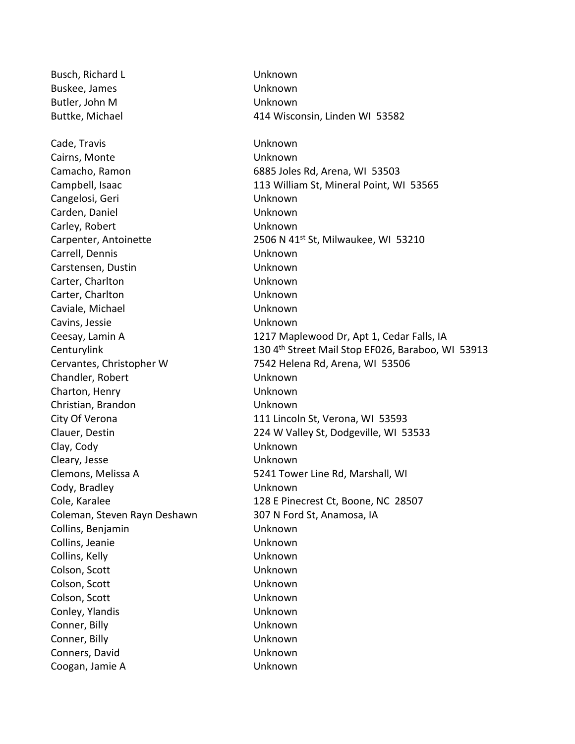Busch, Richard L<br>
Unknown Buskee, James **National American Contract Contract Contract Contract Contract Contract Contract Contract Contract Contract Contract Contract Contract Contract Contract Contract Contract Contract Contract Contract Contract** Butler, John M Unknown Cade, Travis Unknown Cairns, Monte Unknown Cangelosi, Geri Unknown Carden, Daniel Unknown Carley, Robert Unknown Carrell, Dennis Unknown Carstensen, Dustin Unknown Carter, Charlton Unknown Carter, Charlton Unknown Caviale, Michael Unknown Cavins, Jessie Unknown Chandler, Robert **Unknown** Charton, Henry Unknown Christian, Brandon Unknown Clay, Cody Unknown Cleary, Jesse Unknown Cody, Bradley Unknown Coleman, Steven Rayn Deshawn 307 N Ford St, Anamosa, IA Collins, Benjamin Unknown Collins, Jeanie Unknown Collins, Kelly Unknown Colson, Scott Unknown Colson, Scott Unknown Colson, Scott Unknown Conley, Ylandis Unknown Conner, Billy Unknown Conner, Billy Unknown Conners, David Unknown Coogan, Jamie A Unknown

Buttke, Michael 414 Wisconsin, Linden WI 53582 Camacho, Ramon 6885 Joles Rd, Arena, WI 53503 Campbell, Isaac **113 William St, Mineral Point, WI 53565** Carpenter, Antoinette 2506 N 41<sup>st</sup> St, Milwaukee, WI 53210 Ceesay, Lamin A 1217 Maplewood Dr, Apt 1, Cedar Falls, IA Centurylink 130 4<sup>th</sup> Street Mail Stop EF026, Baraboo, WI 53913 Cervantes, Christopher W 7542 Helena Rd, Arena, WI 53506 City Of Verona 111 Lincoln St, Verona, WI 53593 Clauer, Destin 224 W Valley St, Dodgeville, WI 53533 Clemons, Melissa A 5241 Tower Line Rd, Marshall, WI Cole, Karalee 128 E Pinecrest Ct, Boone, NC 28507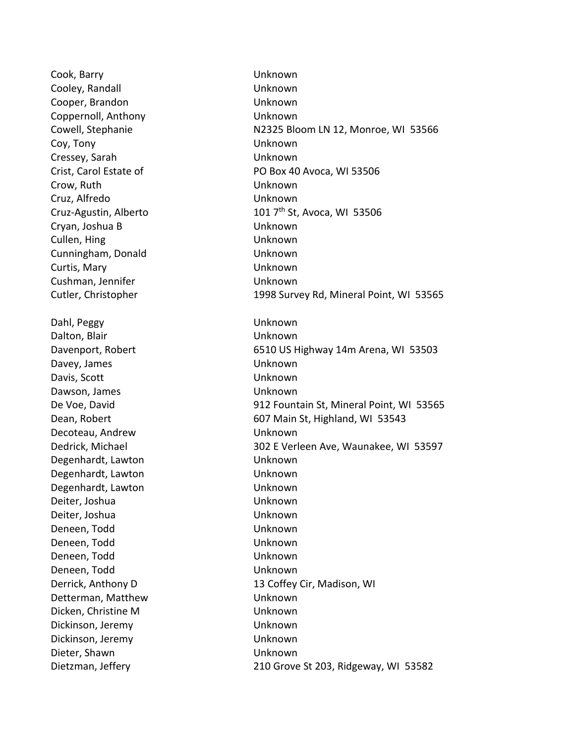Cook, Barry Unknown Cooley, Randall **Cooley, Randall** Unknown Cooper, Brandon Unknown Coppernoll, Anthony Unknown Coy, Tony Unknown Cressey, Sarah Unknown Crow, Ruth Unknown Cruz, Alfredo Unknown Cryan, Joshua B Unknown Cullen, Hing Unknown Cunningham, Donald Unknown Curtis, Mary Unknown Cushman, Jennifer Unknown Dahl, Peggy Unknown Dalton, Blair Unknown Davey, James Changes Channels Unknown Davis, Scott Unknown Dawson, James **National Community** Unknown Decoteau, Andrew Unknown Degenhardt, Lawton **Exercise State Unknown** Degenhardt, Lawton Unknown Degenhardt, Lawton Unknown Deiter, Joshua Unknown Deiter, Joshua Unknown Deneen, Todd Unknown Deneen, Todd Unknown Deneen, Todd Unknown Deneen, Todd Unknown Detterman, Matthew Unknown Dicken, Christine M Unknown Dickinson, Jeremy **Example 2018** Unknown Dickinson, Jeremy Unknown Dieter, Shawn Unknown

Cowell, Stephanie N2325 Bloom LN 12, Monroe, WI 53566 Crist, Carol Estate of PO Box 40 Avoca, WI 53506 Cruz-Agustin, Alberto  $1017<sup>th</sup>$  St, Avoca, WI 53506 Cutler, Christopher 1998 Survey Rd, Mineral Point, WI 53565 Davenport, Robert 6510 US Highway 14m Arena, WI 53503 De Voe, David 912 Fountain St, Mineral Point, WI 53565 Dean, Robert **607 Main St, Highland, WI 53543** Dedrick, Michael 302 E Verleen Ave, Waunakee, WI 53597 Derrick, Anthony D 13 Coffey Cir, Madison, WI Dietzman, Jeffery 210 Grove St 203, Ridgeway, WI 53582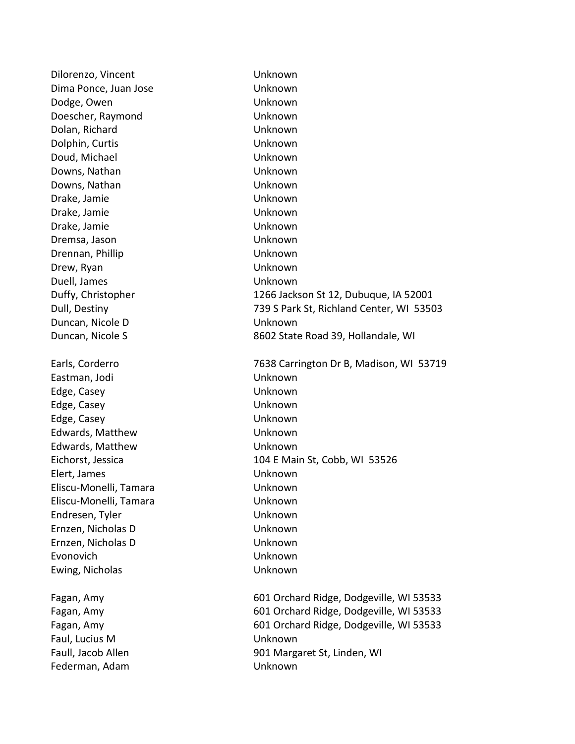Dilorenzo, Vincent Vinknown Dima Ponce, Juan Jose **Unknown** Dodge, Owen Unknown Doescher, Raymond Unknown Dolan, Richard Unknown Dolphin, Curtis Unknown Doud, Michael No. 2006 10:00:00 Unknown Downs, Nathan Unknown Downs, Nathan Unknown Drake, Jamie Unknown Drake, Jamie Unknown Drake, Jamie Unknown Dremsa, Jason Unknown Drennan, Phillip Unknown Drew, Ryan Unknown Duell, James Unknown Duffy, Christopher 1266 Jackson St 12, Dubuque, IA 52001 Dull, Destiny 739 S Park St, Richland Center, WI 53503 Duncan, Nicole D Unknown Duncan, Nicole S<br>8602 State Road 39, Hollandale, WI Earls, Corderro 7638 Carrington Dr B, Madison, WI 53719 Eastman, Jodi Unknown Edge, Casey Unknown Edge, Casey Unknown Edge, Casey Unknown Edwards, Matthew Unknown Edwards, Matthew Unknown Eichorst, Jessica 104 E Main St, Cobb, WI 53526 Elert, James Unknown Eliscu-Monelli, Tamara Unknown Eliscu-Monelli, Tamara Unknown Endresen, Tyler Unknown Ernzen, Nicholas D Unknown Ernzen, Nicholas D Unknown Evonovich Unknown Ewing, Nicholas Unknown Fagan, Amy 601 Orchard Ridge, Dodgeville, WI 53533 Fagan, Amy 601 Orchard Ridge, Dodgeville, WI 53533 Fagan, Amy 601 Orchard Ridge, Dodgeville, WI 53533 Faul, Lucius M Unknown Faull, Jacob Allen **Faull, Jacob Allen** 901 Margaret St, Linden, WI Federman, Adam Unknown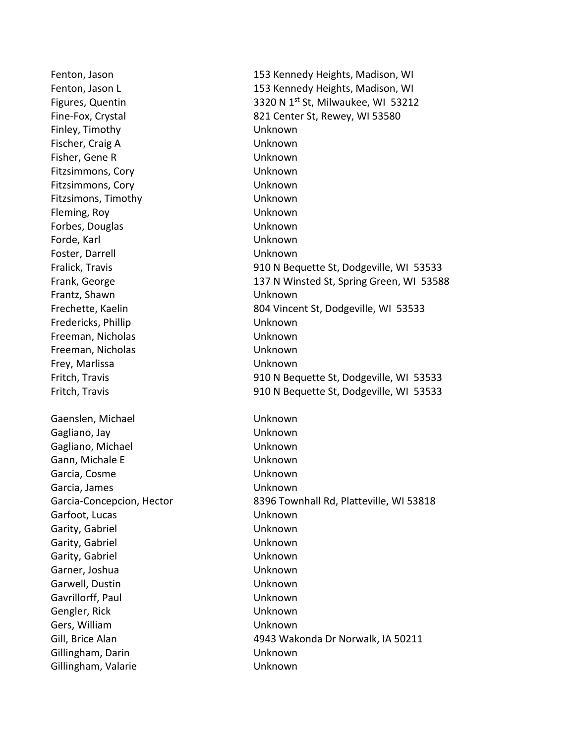Finley, Timothy Unknown Fischer, Craig A Unknown Fisher, Gene R Unknown Fitzsimmons, Cory Unknown Fitzsimmons, Cory **Example 2018** Unknown Fitzsimons, Timothy Unknown Fleming, Roy Unknown Forbes, Douglas Unknown Forde, Karl Unknown Foster, Darrell **Example 20** Unknown Frantz, Shawn Unknown Fredericks, Phillip **Example 20 Inches** Unknown Freeman, Nicholas Unknown Freeman, Nicholas Unknown Frey, Marlissa Unknown Gaenslen, Michael Unknown Gagliano, Jay Unknown Gagliano, Michael **Unknown** Gann, Michale E Unknown Garcia, Cosme Unknown Garcia, James Unknown Garfoot, Lucas Unknown Garity, Gabriel **East Communist Communist Communist Communist Communist Communist Communist Communist Communist Communist Communist Communist Communist Communist Communist Communist Communist Communist Communist Communist** Garity, Gabriel **East Communist Contract Contract Contract Contract Contract Contract Contract Contract Contract Contract Contract Contract Contract Contract Contract Contract Contract Contract Contract Contract Contract C** Garity, Gabriel Unknown Garner, Joshua Unknown Garwell, Dustin **Carmell**, Dustin **Unknown** Gavrillorff, Paul Unknown Gengler, Rick Unknown Gers, William Unknown Gillingham, Darin Unknown Gillingham, Valarie Van American Unknown

Fenton, Jason 153 Kennedy Heights, Madison, WI Fenton, Jason L 153 Kennedy Heights, Madison, WI Figures, Quentin 3320 N 1<sup>st</sup> St, Milwaukee, WI 53212 Fine-Fox, Crystal 821 Center St, Rewey, WI 53580 Fralick, Travis 910 N Bequette St, Dodgeville, WI 53533 Frank, George 137 N Winsted St, Spring Green, WI 53588 Frechette, Kaelin 804 Vincent St, Dodgeville, WI 53533 Fritch, Travis 910 N Bequette St, Dodgeville, WI 53533 Fritch, Travis 910 N Bequette St, Dodgeville, WI 53533 Garcia-Concepcion, Hector 8396 Townhall Rd, Platteville, WI 53818 Gill, Brice Alan 4943 Wakonda Dr Norwalk, IA 50211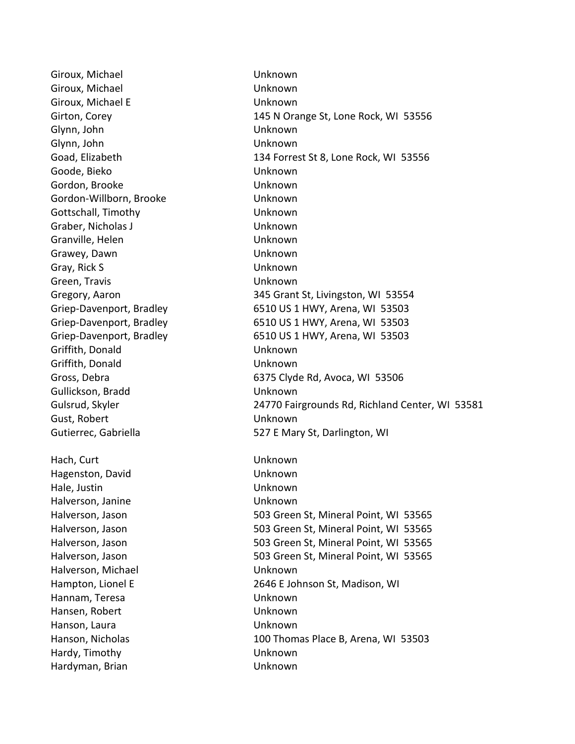Giroux, Michael **Unknown** Giroux, Michael **Unknown** Giroux, Michael E **Unknown** Glynn, John Unknown Glynn, John Unknown Goode, Bieko Unknown Gordon, Brooke Unknown Gordon-Willborn, Brooke Unknown Gottschall, Timothy Unknown Graber, Nicholas J Unknown Granville, Helen Unknown Grawey, Dawn Unknown Gray, Rick S Unknown Green, Travis Unknown Griffith, Donald Unknown Griffith, Donald Unknown Gullickson, Bradd Unknown Gust, Robert Unknown Hach, Curt **Unknown** Hagenston, David Unknown Hale, Justin Unknown Halverson, Janine Unknown Halverson, Michael **East Communist Communist Communist Communist Communist Communist Communist Communist Communist Communist Communist Communist Communist Communist Communist Communist Communist Communist Communist Communi** Hannam, Teresa Unknown Hansen, Robert View Communication and Unknown Hanson, Laura **National Library Contracts** Unknown Hardy, Timothy Unknown Hardyman, Brian National Communist Charles Unknown

Girton, Corey 145 N Orange St, Lone Rock, WI 53556 Goad, Elizabeth 134 Forrest St 8, Lone Rock, WI 53556 Gregory, Aaron 345 Grant St, Livingston, WI 53554 Griep-Davenport, Bradley 6510 US 1 HWY, Arena, WI 53503 Griep-Davenport, Bradley 6510 US 1 HWY, Arena, WI 53503 Griep-Davenport, Bradley 6510 US 1 HWY, Arena, WI 53503 Gross, Debra 6375 Clyde Rd, Avoca, WI 53506 Gulsrud, Skyler 24770 Fairgrounds Rd, Richland Center, WI 53581 Gutierrec, Gabriella 627 E Mary St, Darlington, WI Halverson, Jason 603 Green St, Mineral Point, WI 53565 Halverson, Jason 603 Green St, Mineral Point, WI 53565 Halverson, Jason 603 Green St, Mineral Point, WI 53565 Halverson, Jason 603 Green St, Mineral Point, WI 53565 Hampton, Lionel E 2646 E Johnson St, Madison, WI Hanson, Nicholas 100 Thomas Place B, Arena, WI 53503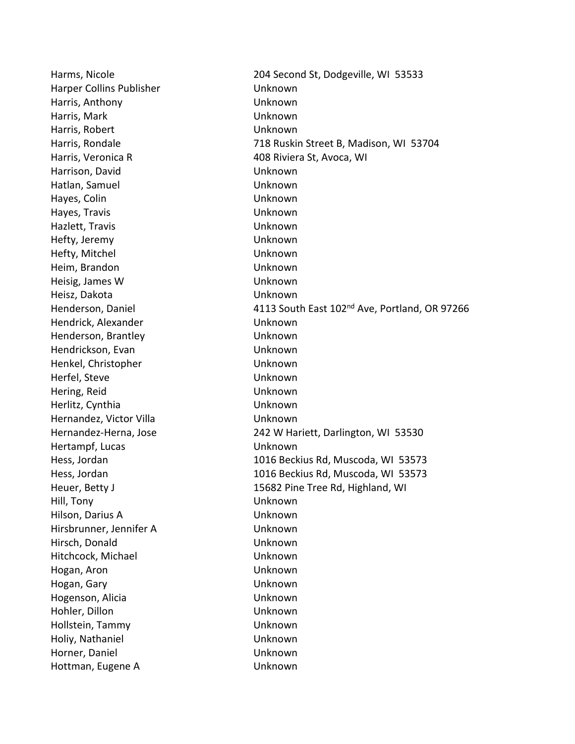Harper Collins Publisher **National Collins Publisher** Unknown Harris, Anthony Unknown Harris, Mark Unknown Harris, Robert Unknown Harris, Veronica R 408 Riviera St, Avoca, WI Harrison, David Unknown Hatlan, Samuel **Water Communist Communist Communist Communist Communist Communist Communist Communist Communist Communist Communist Communist Communist Communist Communist Communist Communist Communist Communist Communist** Hayes, Colin Unknown Hayes, Travis Unknown Hazlett, Travis Unknown Hefty, Jeremy Unknown Hefty, Mitchel **Unknown** Heim, Brandon Unknown Heisig, James W Unknown Heisz, Dakota Unknown Hendrick, Alexander and Unknown Henderson, Brantley **Example 20 Figure 10** Unknown Hendrickson, Evan Unknown Henkel, Christopher Unknown Herfel, Steve **With Communist Communist Communist Communist Communist Communist Communist Communist Communist Communist Communist Communist Communist Communist Communist Communist Communist Communist Communist Communist Co** Hering, Reid **Unknown** Herlitz, Cynthia Unknown Hernandez, Victor Villa **Election Control** Unknown Hertampf, Lucas Unknown Hill, Tony Unknown Hilson, Darius A Unknown Hirsbrunner, Jennifer A Unknown Hirsch, Donald Unknown Hitchcock, Michael Unknown Hogan, Aron Unknown Hogan, Gary Unknown Hogenson, Alicia Unknown Hohler, Dillon Unknown Hollstein, Tammy **Unknown** Holiy, Nathaniel Unknown Horner, Daniel Unknown Hottman, Eugene A Unknown

Harms, Nicole 204 Second St, Dodgeville, WI 53533 Harris, Rondale 718 Ruskin Street B, Madison, WI 53704 Henderson, Daniel **4113 South East 102<sup>nd</sup> Ave, Portland, OR 97266** Hernandez-Herna, Jose 242 W Hariett, Darlington, WI 53530 Hess, Jordan 1016 Beckius Rd, Muscoda, WI 53573 Hess, Jordan 1016 Beckius Rd, Muscoda, WI 53573 Heuer, Betty J **15682 Pine Tree Rd, Highland, WI**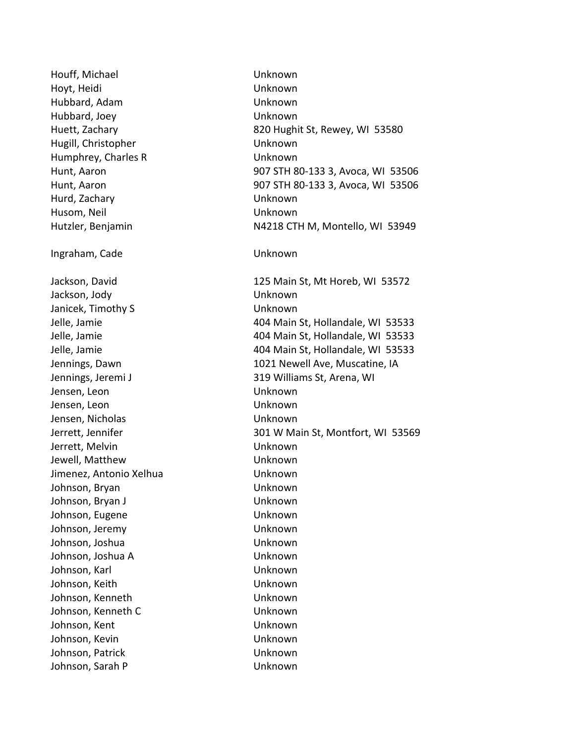Houff, Michael Unknown Hoyt, Heidi Unknown Hubbard, Adam Unknown Hubbard, Joey Unknown Hugill, Christopher Unknown Humphrey, Charles R Unknown Hurd, Zachary Unknown Husom, Neil Unknown Ingraham, Cade Unknown Jackson, Jody Unknown Janicek, Timothy S Unknown Jensen, Leon Unknown Jensen, Leon Unknown Jensen, Nicholas Unknown Jerrett, Melvin Unknown Jewell, Matthew Unknown Jimenez, Antonio Xelhua Unknown Johnson, Bryan Unknown Johnson, Bryan J View View Muslim Unknown Johnson, Eugene Van American Unknown Johnson, Jeremy Unknown Johnson, Joshua **Warehoun** Unknown Johnson, Joshua A Unknown Johnson, Karl National Communist Communist Unknown Johnson, Keith Unknown Johnson, Kenneth Unknown Johnson, Kenneth C Unknown Johnson, Kent View View Unknown Johnson, Kevin Unknown Johnson, Patrick Unknown Johnson, Sarah P Unknown

Huett, Zachary 820 Hughit St, Rewey, WI 53580 Hunt, Aaron 907 STH 80-133 3, Avoca, WI 53506 Hunt, Aaron 907 STH 80-133 3, Avoca, WI 53506 Hutzler, Benjamin N4218 CTH M, Montello, WI 53949 Jackson, David 125 Main St, Mt Horeb, WI 53572 Jelle, Jamie 404 Main St, Hollandale, WI 53533 Jelle, Jamie 404 Main St, Hollandale, WI 53533 Jelle, Jamie 404 Main St, Hollandale, WI 53533 Jennings, Dawn 1021 Newell Ave, Muscatine, IA Jennings, Jeremi J 319 Williams St, Arena, WI Jerrett, Jennifer 301 W Main St, Montfort, WI 53569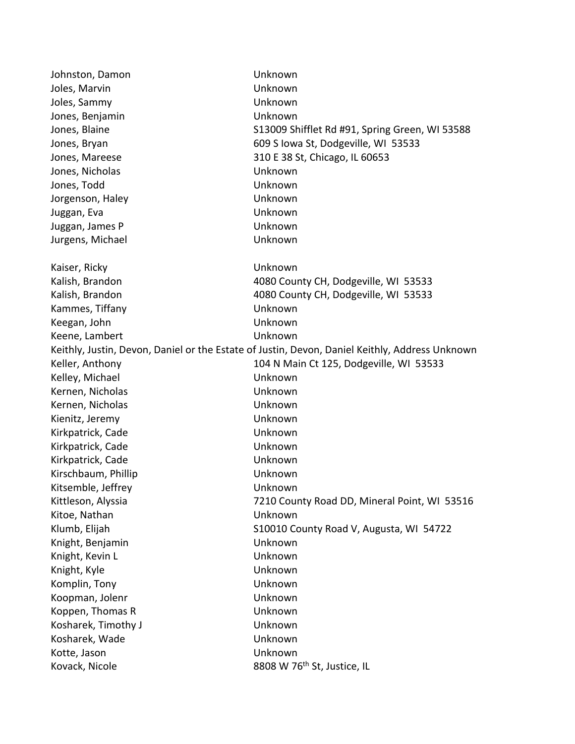| Johnston, Damon                                                                                | Unknown                                        |
|------------------------------------------------------------------------------------------------|------------------------------------------------|
| Joles, Marvin                                                                                  | Unknown                                        |
| Joles, Sammy                                                                                   | Unknown                                        |
| Jones, Benjamin                                                                                | Unknown                                        |
| Jones, Blaine                                                                                  | S13009 Shifflet Rd #91, Spring Green, WI 53588 |
| Jones, Bryan                                                                                   | 609 S Iowa St, Dodgeville, WI 53533            |
| Jones, Mareese                                                                                 | 310 E 38 St, Chicago, IL 60653                 |
| Jones, Nicholas                                                                                | Unknown                                        |
| Jones, Todd                                                                                    | Unknown                                        |
| Jorgenson, Haley                                                                               | Unknown                                        |
| Juggan, Eva                                                                                    | Unknown                                        |
| Juggan, James P                                                                                | Unknown                                        |
| Jurgens, Michael                                                                               | Unknown                                        |
| Kaiser, Ricky                                                                                  | Unknown                                        |
| Kalish, Brandon                                                                                | 4080 County CH, Dodgeville, WI 53533           |
| Kalish, Brandon                                                                                | 4080 County CH, Dodgeville, WI 53533           |
| Kammes, Tiffany                                                                                | Unknown                                        |
| Keegan, John                                                                                   | Unknown                                        |
| Keene, Lambert                                                                                 | Unknown                                        |
| Keithly, Justin, Devon, Daniel or the Estate of Justin, Devon, Daniel Keithly, Address Unknown |                                                |
| Keller, Anthony                                                                                | 104 N Main Ct 125, Dodgeville, WI 53533        |
| Kelley, Michael                                                                                | Unknown                                        |
| Kernen, Nicholas                                                                               | Unknown                                        |
| Kernen, Nicholas                                                                               | Unknown                                        |
| Kienitz, Jeremy                                                                                | Unknown                                        |
| Kirkpatrick, Cade                                                                              | Unknown                                        |
| Kirkpatrick, Cade                                                                              | Unknown                                        |
| Kirkpatrick, Cade                                                                              | Unknown                                        |
| Kirschbaum, Phillip                                                                            | Unknown                                        |
| Kitsemble, Jeffrey                                                                             | Unknown                                        |
| Kittleson, Alyssia                                                                             | 7210 County Road DD, Mineral Point, WI 53516   |
| Kitoe, Nathan                                                                                  | Unknown                                        |
| Klumb, Elijah                                                                                  | S10010 County Road V, Augusta, WI 54722        |
| Knight, Benjamin                                                                               | Unknown                                        |
| Knight, Kevin L                                                                                | Unknown                                        |
| Knight, Kyle                                                                                   | Unknown                                        |
| Komplin, Tony                                                                                  | Unknown                                        |
| Koopman, Jolenr                                                                                | Unknown                                        |
| Koppen, Thomas R                                                                               | Unknown                                        |
| Kosharek, Timothy J                                                                            | Unknown                                        |
| Kosharek, Wade                                                                                 | Unknown                                        |
| Kotte, Jason                                                                                   | Unknown                                        |
| Kovack, Nicole                                                                                 | 8808 W 76 <sup>th</sup> St, Justice, IL        |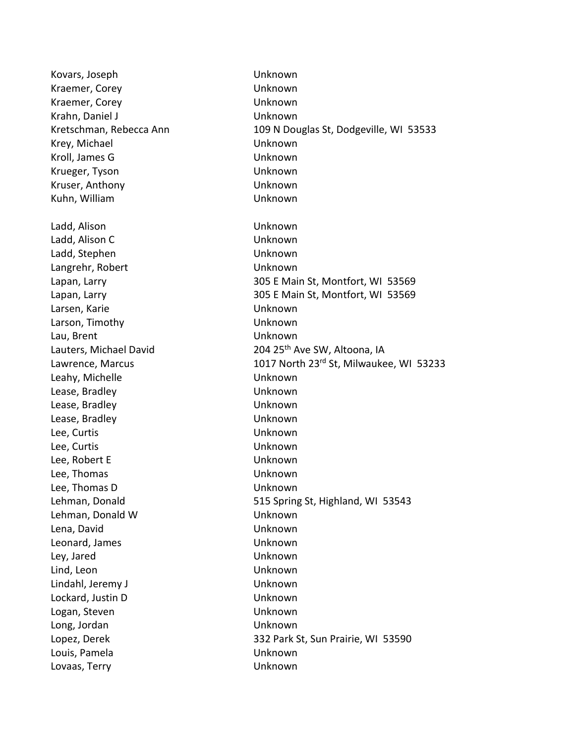Kovars, Joseph Unknown Kraemer, Corey **Exercise Exercise Contract Contract Contract Contract Contract Contract Contract Contract Contract Contract Contract Contract Contract Contract Contract Contract Contract Contract Contract Contract Contract** Kraemer, Corey **Example 20 You allow Unknown** Krahn, Daniel J View View Muslim Unknown Kretschman, Rebecca Ann 109 N Douglas St, Dodgeville, WI 53533 Krey, Michael Unknown Kroll, James G Unknown Krueger, Tyson Unknown Kruser, Anthony Unknown Kuhn, William Unknown Ladd, Alison Unknown Ladd, Alison C Unknown Ladd, Stephen Unknown Langrehr, Robert **Unknown** Lapan, Larry 305 E Main St, Montfort, WI 53569 Lapan, Larry 305 E Main St, Montfort, WI 53569 Larsen, Karie Van die Europasse Unknown Larson, Timothy Unknown Lau, Brent View Contract Unknown Lauters, Michael David 204 25<sup>th</sup> Ave SW, Altoona, IA Lawrence, Marcus 1017 North 23<sup>rd</sup> St, Milwaukee, WI 53233 Leahy, Michelle **Unknown** Lease, Bradley Unknown Lease, Bradley Unknown Lease, Bradley Unknown Lee, Curtis Unknown Lee, Curtis Unknown Lee, Robert E View Unknown Lee, Thomas Unknown Lee, Thomas D Unknown Lehman, Donald 515 Spring St, Highland, WI 53543 Lehman, Donald W Unknown Lena, David Unknown Leonard, James **National Community** Unknown Ley, Jared Unknown Lind, Leon Unknown Lindahl, Jeremy J View View Muslim Unknown Lockard, Justin D Unknown Logan, Steven Unknown Long, Jordan Unknown Lopez, Derek 332 Park St, Sun Prairie, WI 53590 Louis, Pamela Unknown Lovaas, Terry **Network** Unknown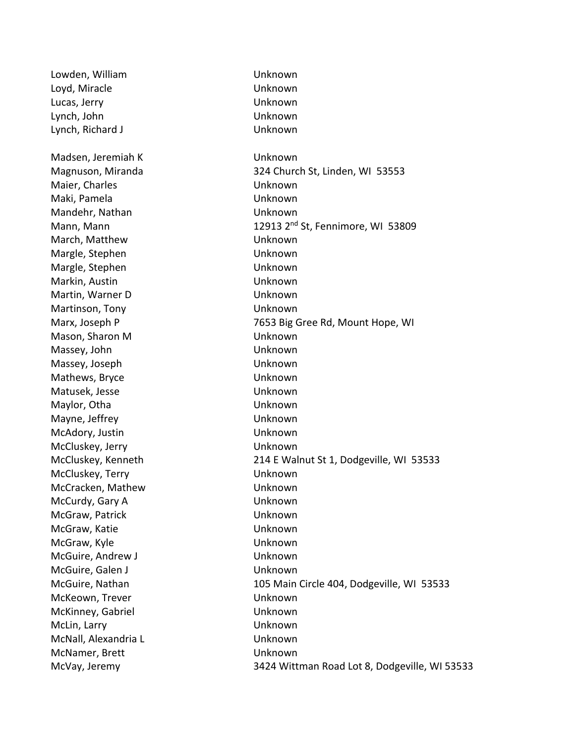Lowden, William Unknown Loyd, Miracle Unknown Lucas, Jerry Unknown Lynch, John Unknown Lynch, Richard J Unknown Madsen, Jeremiah K Unknown Magnuson, Miranda 324 Church St, Linden, WI 53553 Maier, Charles **Unknown** Maki, Pamela Unknown Mandehr, Nathan **Nathan** Unknown Mann, Mann 12913 2<sup>nd</sup> St, Fennimore, WI 53809 March, Matthew Unknown Margle, Stephen Unknown Margle, Stephen Unknown Markin, Austin Unknown Martin, Warner D Unknown Martinson, Tony Unknown Marx, Joseph P 7653 Big Gree Rd, Mount Hope, WI Mason, Sharon M Unknown Massey, John Unknown Massey, Joseph Unknown Mathews, Bryce Unknown Matusek, Jesse Unknown Maylor, Otha Unknown Mayne, Jeffrey **National Example 2018** Unknown McAdory, Justin Unknown McCluskey, Jerry **New York Cluskey, Jerry New York Club** McCluskey, Kenneth 214 E Walnut St 1, Dodgeville, WI 53533 McCluskey, Terry **New York Cluskey, Terry New York Club** McCracken, Mathew Unknown McCurdy, Gary A Unknown McGraw, Patrick **National Execution Control** Unknown McGraw, Katie **McGraw, Katie Williams** Unknown McGraw, Kyle **William Communist Communist Communist Communist Communist Communist Communist Communist Communist Communist Communist Communist Communist Communist Communist Communist Communist Communist Communist Communist** McGuire, Andrew J **Unknown** McGuire, Galen J View Contract and McGuire, Galen J McGuire, Nathan 105 Main Circle 404, Dodgeville, WI 53533 McKeown, Trever North Charles Bank Unknown McKinney, Gabriel **McKinney**, Gabriel **Unknown** McLin, Larry **Unknown** McNall, Alexandria L Unknown McNamer, Brett Unknown McVay, Jeremy 3424 Wittman Road Lot 8, Dodgeville, WI 53533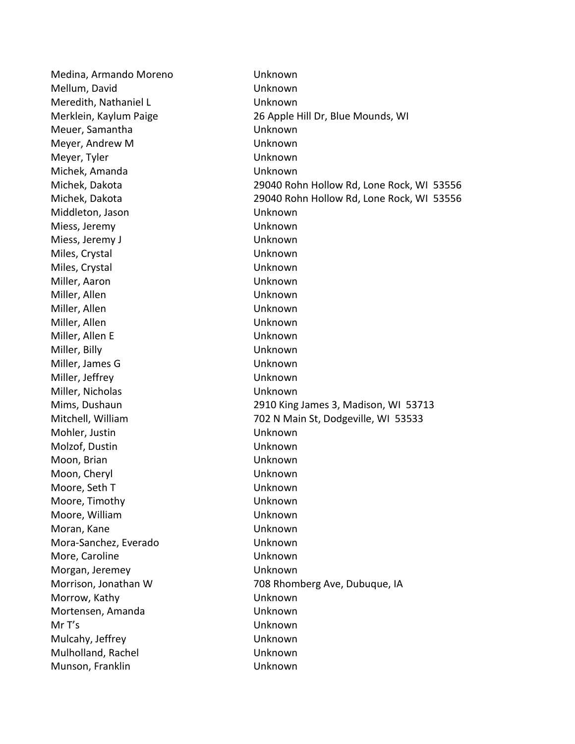Medina, Armando Moreno Unknown Mellum, David **Unknown** Meredith, Nathaniel L<br>
Unknown Merklein, Kaylum Paige 26 Apple Hill Dr, Blue Mounds, WI Meuer, Samantha Unknown Meyer, Andrew M Unknown Meyer, Tyler No. 2008 - 2012 Meyer, Tyler No. 2014 Michek, Amanda Unknown Michek, Dakota 29040 Rohn Hollow Rd, Lone Rock, WI 53556 Michek, Dakota 29040 Rohn Hollow Rd, Lone Rock, WI 53556 Middleton, Jason Unknown Miess, Jeremy Unknown Miess, Jeremy J Unknown Miles, Crystal Unknown Miles, Crystal Unknown Miller, Aaron Unknown Miller, Allen Unknown Miller, Allen Van Hotel Unknown Miller, Allen Unknown Miller, Allen E Unknown Miller, Billy Unknown Miller, James G Unknown Miller, Jeffrey Unknown Miller, Nicholas Unknown Mims, Dushaun 2910 King James 3, Madison, WI 53713 Mitchell, William 702 N Main St, Dodgeville, WI 53533 Mohler, Justin Unknown Molzof, Dustin Unknown Moon, Brian Unknown Moon, Cheryl Unknown Moore, Seth T November 2012 10:00 Unknown Moore, Timothy Unknown Moore, William Unknown Moran, Kane Van American Unknown Mora-Sanchez, Everado Unknown More, Caroline **No. 1988** Unknown Morgan, Jeremey Unknown Morrison, Jonathan W 708 Rhomberg Ave, Dubuque, IA Morrow, Kathy Unknown Mortensen, Amanda Unknown Mr T's Unknown Mulcahy, Jeffrey **National American** Unknown Mulholland, Rachel Unknown Munson, Franklin Van Horace Unknown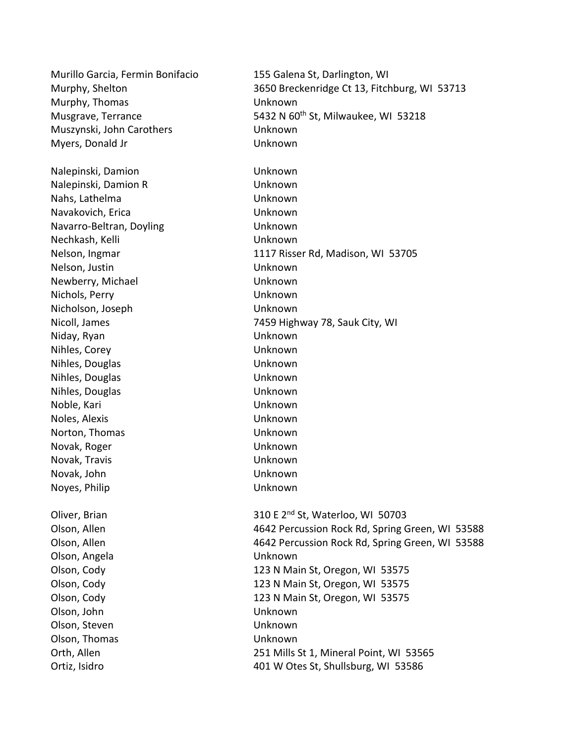Murillo Garcia, Fermin Bonifacio 155 Galena St, Darlington, WI Murphy, Shelton 3650 Breckenridge Ct 13, Fitchburg, WI 53713 Murphy, Thomas Unknown Musgrave, Terrance The State of the S432 N 60<sup>th</sup> St, Milwaukee, WI 53218 Muszynski, John Carothers Unknown Myers, Donald Jr Unknown Nalepinski, Damion Unknown Nalepinski, Damion R Unknown Nahs, Lathelma Unknown Navakovich, Erica Unknown Navarro-Beltran, Doyling Unknown Nechkash, Kelli Unknown Nelson, Ingmar 1117 Risser Rd, Madison, WI 53705 Nelson, Justin Unknown Newberry, Michael Unknown Nichols, Perry Unknown Nicholson, Joseph Unknown Nicoll, James 7459 Highway 78, Sauk City, WI Niday, Ryan Unknown Nihles, Corey Unknown Nihles, Douglas Unknown Nihles, Douglas Unknown Nihles, Douglas Unknown Noble, Kari Unknown Noles, Alexis Unknown Norton, Thomas Unknown Novak, Roger Unknown Novak, Travis Unknown Novak, John Unknown Noyes, Philip Unknown Oliver, Brian  $310 E 2^{nd}$  St, Waterloo, WI 50703 Olson, Allen 4642 Percussion Rock Rd, Spring Green, WI 53588 Olson, Allen 4642 Percussion Rock Rd, Spring Green, WI 53588 Olson, Angela Unknown Olson, Cody 123 N Main St, Oregon, WI 53575 Olson, Cody 123 N Main St, Oregon, WI 53575 Olson, Cody 123 N Main St, Oregon, WI 53575 Olson, John Unknown Olson, Steven **Unknown** Olson, Thomas Unknown Orth, Allen 251 Mills St 1, Mineral Point, WI 53565 Ortiz, Isidro 401 W Otes St, Shullsburg, WI 53586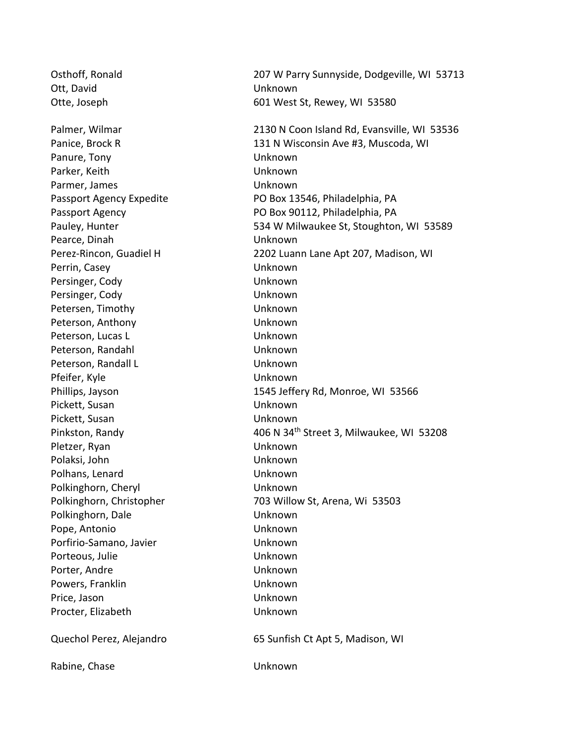Osthoff, Ronald 207 W Parry Sunnyside, Dodgeville, WI 53713 Ott, David Contract Contract Contract Contract Contract Contract Contract Contract Contract Contract Contract Contract Contract Contract Contract Contract Contract Contract Contract Contract Contract Contract Contract Cont Otte, Joseph 601 West St, Rewey, WI 53580 Palmer, Wilmar 2130 N Coon Island Rd, Evansville, WI 53536 Panice, Brock R 131 N Wisconsin Ave #3, Muscoda, WI Panure, Tony **National Contract Contract Contract Contract Contract Contract Contract Contract Contract Contract Contract Contract Contract Contract Contract Contract Contract Contract Contract Contract Contract Contract C** Parker, Keith Unknown Parmer, James **National Accord Contract Contract Contract Contract Contract Contract Contract Contract Contract Contract Contract Contract Contract Contract Contract Contract Contract Contract Contract Contract Contract Co** Passport Agency Expedite PO Box 13546, Philadelphia, PA Passport Agency **PO Box 90112, Philadelphia, PA** Pauley, Hunter **628 Contract Contract Contract Contract Contract Contract Contract Contract Contract Contract Contract Contract Contract Contract Contract Contract Contract Contract Contract Contract Contract Contract Cont** Pearce, Dinah Unknown Perez-Rincon, Guadiel H 2202 Luann Lane Apt 207, Madison, WI Perrin, Casey Unknown Persinger, Cody Unknown Persinger, Cody Unknown Petersen, Timothy **Example 20 Inches** Unknown Peterson, Anthony Channel Channel Unknown Peterson, Lucas L<br>
Unknown Peterson, Randahl View Unknown Peterson, Randall L<br>
Unknown Pfeifer, Kyle **Unknown** Phillips, Jayson 1545 Jeffery Rd, Monroe, WI 53566 Pickett, Susan **Unknown** Pickett, Susan Unknown Pinkston, Randy 100 M 34<sup>th</sup> Street 3, Milwaukee, WI 53208 Pletzer, Ryan Unknown Polaksi, John Unknown Polhans, Lenard Unknown Polkinghorn, Cheryl **Example 2018** Unknown Polkinghorn, Christopher 703 Willow St, Arena, Wi 53503 Polkinghorn, Dale **Unknown** Pope, Antonio Unknown Porfirio-Samano, Javier **National Americano Control** Unknown Porteous, Julie Unknown Porter, Andre Viernamen und Unknown Powers, Franklin Nowell Books and Unknown Price, Jason Unknown Procter, Elizabeth Unknown Quechol Perez, Alejandro 65 Sunfish Ct Apt 5, Madison, WI

Rabine, Chase Unknown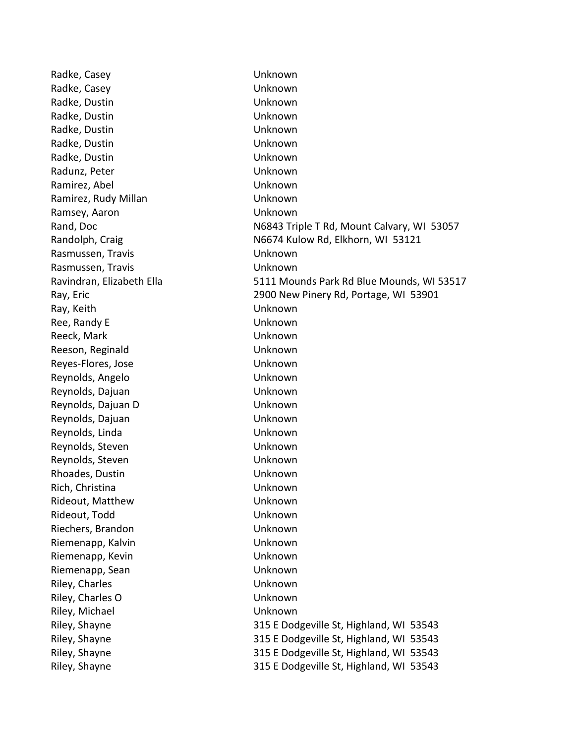Radke, Casey **National Execution Contract Contract Contract Contract Contract Contract Contract Contract Contract Contract Contract Contract Contract Contract Contract Contract Contract Contract Contract Contract Contract** Radke, Casey Unknown Radke, Dustin Unknown Radke, Dustin Unknown Radke, Dustin Unknown Radke, Dustin Unknown Radke, Dustin **National Contract Contract Contract Contract Contract Contract Contract Contract Contract Contract Contract Contract Contract Contract Contract Contract Contract Contract Contract Contract Contract Contract** Radunz, Peter **National Accord Patients** Unknown Ramirez, Abel **Namirez**, Abel **Unknown** Ramirez, Rudy Millan **Namirez**, Rudy Millan Ramsey, Aaron Namsey, Aaron Namsey, Aaron Namsey, Aaron Namsey, 2012 Rasmussen, Travis Van Museum Unknown Rasmussen, Travis Victorian Muslim Unknown Ray, Keith Unknown Ree, Randy E and the Unknown Reeck, Mark Channel Channel Channel Unknown Reeson, Reginald Unknown Reyes-Flores, Jose **New Strategies** Unknown Reynolds, Angelo Unknown Reynolds, Dajuan Unknown Reynolds, Dajuan D Unknown Reynolds, Dajuan Unknown Reynolds, Linda Unknown Reynolds, Steven **National Contract Contract Contract Contract Contract Contract Contract Contract Contract Contract Contract Contract Contract Contract Contract Contract Contract Contract Contract Contract Contract Contra** Reynolds, Steven **National Communist Communist Communist Communist Communist Communist Communist Communist Communist Communist Communist Communist Communist Communist Communist Communist Communist Communist Communist Commu** Rhoades, Dustin Unknown Rich, Christina Unknown Rideout, Matthew Unknown Rideout, Todd Unknown Riechers, Brandon Unknown Riemenapp, Kalvin View Charles Unknown Riemenapp, Kevin Victorian Controller Unknown Riemenapp, Sean Unknown Riley, Charles **Exercise Exercise Exercise Contract Contract Contract Contract Contract Contract Contract Contract Contract Contract Contract Contract Contract Contract Contract Contract Contract Contract Contract Contract** Riley, Charles O **Unknown** Riley, Michael Unknown

Rand, Doc **N6843 Triple T Rd, Mount Calvary, WI 53057** Randolph, Craig N6674 Kulow Rd, Elkhorn, WI 53121 Ravindran, Elizabeth Ella 5111 Mounds Park Rd Blue Mounds, WI 53517 Ray, Eric 2900 New Pinery Rd, Portage, WI 53901 Riley, Shayne 315 E Dodgeville St, Highland, WI 53543 Riley, Shayne 315 E Dodgeville St, Highland, WI 53543 Riley, Shayne 315 E Dodgeville St, Highland, WI 53543 Riley, Shayne 315 E Dodgeville St, Highland, WI 53543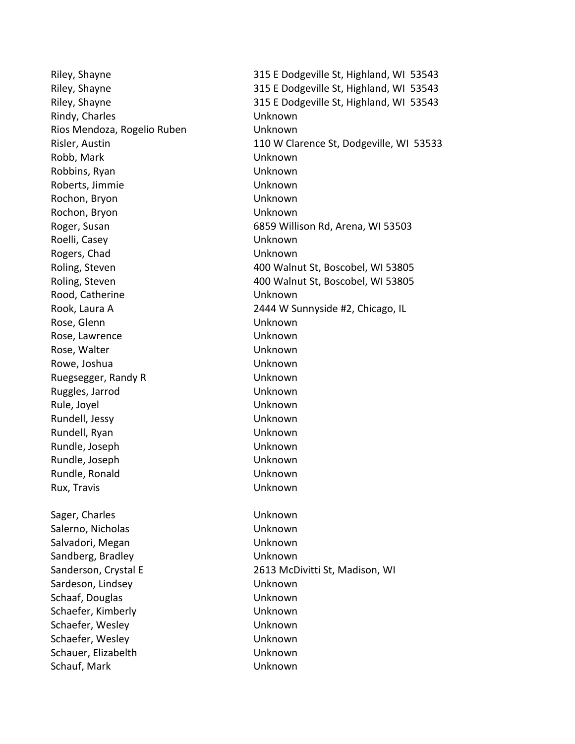Rindy, Charles **Example 20** Unknown Rios Mendoza, Rogelio Ruben Unknown Robb, Mark Unknown Robbins, Ryan Unknown Roberts, Jimmie Viernamens unknown Rochon, Bryon Unknown Rochon, Bryon Unknown Roelli, Casey Unknown Rogers, Chad Unknown Rood, Catherine **No. 1988** Unknown Rose, Glenn **National Contract Contract Contract Contract Contract Contract Contract Contract Contract Contract Contract Contract Contract Contract Contract Contract Contract Contract Contract Contract Contract Contract Co** Rose, Lawrence **Unknown** Rose, Walter National Contract Contract Contract Unknown Rowe, Joshua **National Communist Except Communist Communist Communist Communist Communist Communist Communist Communist Communist Communist Communist Communist Communist Communist Communist Communist Communist Communist Co** Ruegsegger, Randy R Unknown Ruggles, Jarrod Unknown Rule, Joyel Unknown Rundell, Jessy Unknown Rundell, Ryan Unknown Rundle, Joseph Unknown Rundle, Joseph Unknown Rundle, Ronald Unknown Rux, Travis Unknown Sager, Charles **Exercise Exercise Contract Charles** Unknown Salerno, Nicholas **Unknown** Salvadori, Megan National American Unknown Sandberg, Bradley Contract Contract Contract Unknown Sanderson, Crystal E 2613 McDivitti St, Madison, WI Sardeson, Lindsey **Example 20** Unknown Schaaf, Douglas Unknown Schaefer, Kimberly **Example 2018** Unknown Schaefer, Wesley North Changes Unknown Schaefer, Wesley News, 2008, 2008, 2012 Schauer, Elizabelth Unknown Schauf, Mark Chause Unknown

Riley, Shayne 315 E Dodgeville St, Highland, WI 53543 Riley, Shayne 315 E Dodgeville St, Highland, WI 53543 Riley, Shayne 315 E Dodgeville St, Highland, WI 53543 Risler, Austin 110 W Clarence St, Dodgeville, WI 53533 Roger, Susan **6859 Willison Rd, Arena, WI 53503** Roling, Steven 400 Walnut St, Boscobel, WI 53805 Roling, Steven 400 Walnut St, Boscobel, WI 53805 Rook, Laura A 2444 W Sunnyside #2, Chicago, IL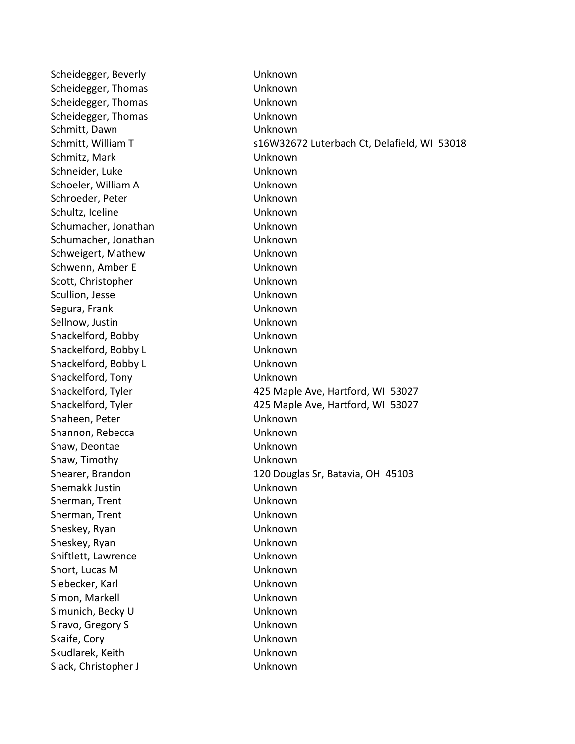Scheidegger, Beverly **Example 20 Finally Control** Unknown Scheidegger, Thomas **Unknown** Scheidegger, Thomas **Unknown** Scheidegger, Thomas Unknown Schmitt, Dawn Unknown Schmitt, William T S16W32672 Luterbach Ct, Delafield, WI 53018 Schmitz, Mark **National Communisties** Unknown Schneider, Luke Unknown Schoeler, William A Unknown Schroeder, Peter National Communication of Unknown Schultz, Iceline Channel Channel Unknown Schumacher, Jonathan Unknown Schumacher, Jonathan Unknown Schweigert, Mathew **Unknown** Schwenn, Amber E View Unknown Scott, Christopher **Unknown** Scullion, Jesse Unknown Segura, Frank Unknown Sellnow, Justin **National Communist Communist Communist Communist Communist Communist Communist Communist Communist Communist Communist Communist Communist Communist Communist Communist Communist Communist Communist Commun** Shackelford, Bobby **Unknown** Shackelford, Bobby L **Unknown** Shackelford, Bobby L<br>
Unknown Shackelford, Tony **Unknown** Shackelford, Tyler 425 Maple Ave, Hartford, WI 53027 Shackelford, Tyler 425 Maple Ave, Hartford, WI 53027 Shaheen, Peter National Assemblance Unknown Shannon, Rebecca Unknown Shaw, Deontae **Unknown** Shaw, Timothy **Example 20** Unknown Shearer, Brandon 120 Douglas Sr, Batavia, OH 45103 Shemakk Justin Unknown Sherman, Trent Unknown Sherman, Trent View Contract Unknown Sheskey, Ryan Unknown Sheskey, Ryan Unknown Shiftlett, Lawrence Unknown Short, Lucas M Unknown Siebecker, Karl National Communication of Unknown Simon, Markell **Example 2018** Unknown Simunich, Becky U View Unknown Siravo, Gregory S<br>
Unknown Skaife, Cory Unknown Skudlarek, Keith Unknown Slack, Christopher J View Unknown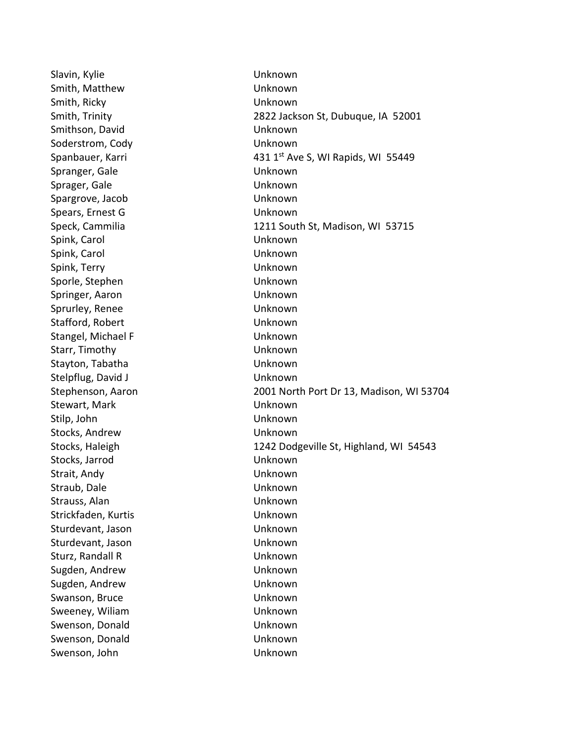Slavin, Kylie Unknown Smith, Matthew **Unknown** Smith, Ricky Unknown Smithson, David Channel Channel Unknown Soderstrom, Cody **Unknown** Spranger, Gale Unknown Sprager, Gale **Unknown** Spargrove, Jacob Unknown Spears, Ernest G Unknown Spink, Carol Unknown Spink, Carol Unknown Spink, Terry Unknown Sporle, Stephen Unknown Springer, Aaron Unknown Sprurley, Renee Unknown Stafford, Robert **Unknown** Stangel, Michael F View Contract Contract Unknown Starr, Timothy Unknown Stayton, Tabatha Unknown Stelpflug, David J Unknown Stewart, Mark **Nark Communist Communist Communist Communist Communist Communist Communist Communist Communist Communist Communist Communist Communist Communist Communist Communist Communist Communist Communist Communist Co** Stilp, John Unknown Stocks, Andrew Unknown Stocks, Jarrod Unknown Strait, Andy Unknown Straub, Dale Unknown Strauss, Alan Unknown Strickfaden, Kurtis Unknown Sturdevant, Jason Unknown Sturdevant, Jason **Unknown** Sturz, Randall R Unknown Sugden, Andrew Unknown Sugden, Andrew Unknown Swanson, Bruce Unknown Sweeney, Wiliam National Control of Unknown Swenson, Donald Unknown Swenson, Donald Unknown Swenson, John Unknown

Smith, Trinity 2822 Jackson St, Dubuque, IA 52001 Spanbauer, Karri 1980 1991 1992 11: 431 1<sup>st</sup> Ave S, WI Rapids, WI 55449 Speck, Cammilia 1211 South St, Madison, WI 53715 Stephenson, Aaron 2001 North Port Dr 13, Madison, WI 53704 Stocks, Haleigh 1242 Dodgeville St, Highland, WI 54543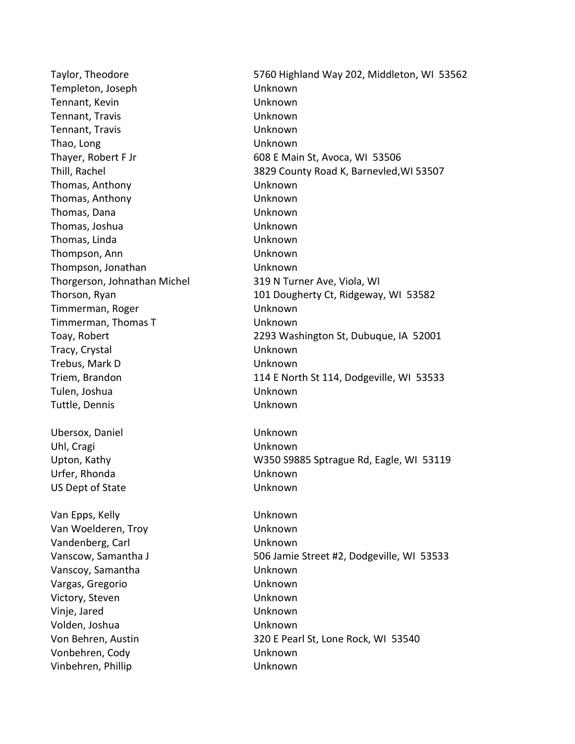Templeton, Joseph Unknown Tennant, Kevin Victorian Controller under Unknown Tennant, Travis Unknown Tennant, Travis Unknown Thao, Long Unknown Thomas, Anthony Unknown Thomas, Anthony Unknown Thomas, Dana Unknown Thomas, Joshua Unknown Thomas, Linda Unknown Thompson, Ann Unknown Thompson, Jonathan Unknown Thorgerson, Johnathan Michel 319 N Turner Ave, Viola, WI Timmerman, Roger North Communication Unknown Timmerman, Thomas T Unknown Tracy, Crystal Unknown Trebus, Mark D Unknown Tulen, Joshua Unknown Tuttle, Dennis Unknown Ubersox, Daniel Unknown Uhl, Cragi Unknown Urfer, Rhonda Unknown US Dept of State Unknown Van Epps, Kelly **Van Epps, Kelly** Van Woelderen, Troy Unknown Vandenberg, Carl Vandenberg, Carl Vandenberg, Carl Vandenberg, Carl Vandenberg, Carl Vandenberg, Carl Vandenberg, C Vanscoy, Samantha Unknown Vargas, Gregorio Unknown Victory, Steven Unknown Vinje, Jared Unknown Volden, Joshua Unknown

Taylor, Theodore 5760 Highland Way 202, Middleton, WI 53562 Thayer, Robert F Jr 608 E Main St, Avoca, WI 53506 Thill, Rachel 3829 County Road K, Barnevled,WI 53507 Thorson, Ryan 101 Dougherty Ct, Ridgeway, WI 53582 Toay, Robert 2293 Washington St, Dubuque, IA 52001 Triem, Brandon 114 E North St 114, Dodgeville, WI 53533 Upton, Kathy M350 S9885 Sptrague Rd, Eagle, WI 53119 Vanscow, Samantha J 506 Jamie Street #2, Dodgeville, WI 53533 Von Behren, Austin 320 E Pearl St, Lone Rock, WI 53540 Vonbehren, Cody Unknown Vinbehren, Phillip Vinbehren, Phillip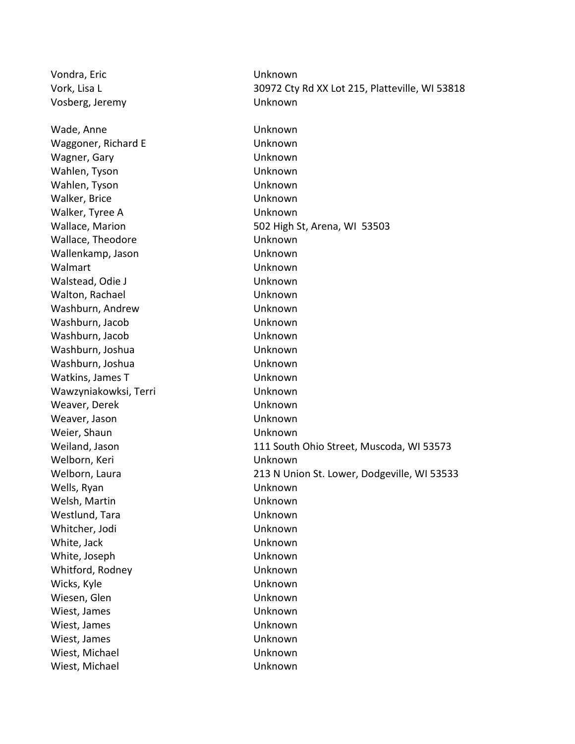Vondra, Eric Unknown Vork, Lisa L 30972 Cty Rd XX Lot 215, Platteville, WI 53818 Vosberg, Jeremy Unknown Wade, Anne Unknown Waggoner, Richard E **Waggoner**, Richard E Wagner, Gary **Wagner**, Gary **Unknown** Wahlen, Tyson Unknown Wahlen, Tyson Unknown Walker, Brice **Walker, Brice Unknown** Walker, Tyree A and Unknown Wallace, Marion 602 High St, Arena, WI 53503 Wallace, Theodore **Wallace**, Theodore **Unknown** Wallenkamp, Jason Unknown Walmart Unknown Walstead, Odie J Van Electric Unknown Walton, Rachael **Walton, Rachael** Washburn, Andrew Unknown Washburn, Jacob Unknown Washburn, Jacob Unknown Washburn, Joshua **Washburn, Joshua** Unknown Washburn, Joshua **Washburn, Joshua** Watkins, James T View World Unknown Wawzyniakowksi, Terri Vanknown Weaver, Derek **Weaver, Derek Weaver, Derek Kanada Kara** Weaver, Jason **Weaver, Jason** Unknown Weier, Shaun National Library Controller Unknown Weiland, Jason **111 South Ohio Street, Muscoda, WI 53573** Welborn, Keri Naman Keri Unknown Welborn, Laura 213 N Union St. Lower, Dodgeville, WI 53533 Wells, Ryan Unknown Welsh, Martin Unknown Westlund, Tara **Westlund, Tara** Unknown Whitcher, Jodi Unknown White, Jack **Unknown** White, Joseph Unknown Whitford, Rodney **Whitford, Rodney** Wicks, Kyle **Wicks**, Kyle Unknown Wiesen, Glen National Communication of Unknown Wiest, James **Wiest, James Unknown** Wiest, James **Wiest, James** Unknown Wiest, James **Wiest, James** Unknown Wiest, Michael **Wiest**, Michael **Unknown** Wiest, Michael **Wiest**, Michael **Unknown**